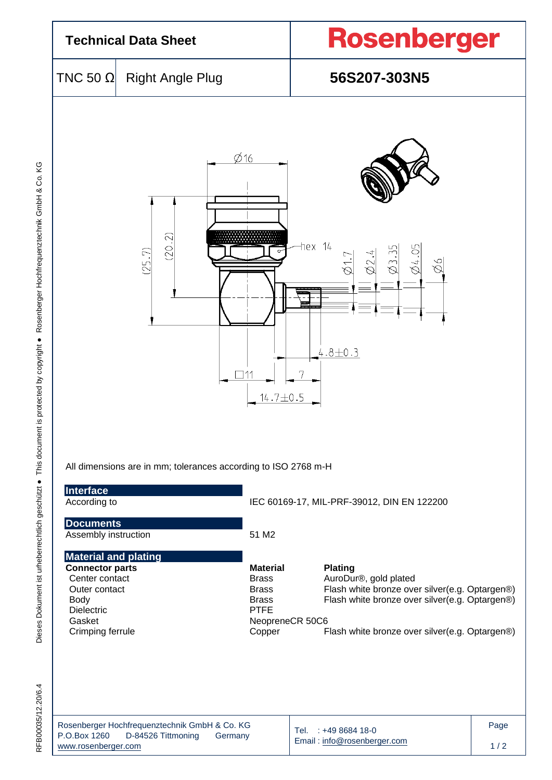| <b>Technical Data Sheet</b>                                                                                                                         |                                                                                    |                                                                                                             | <b>Rosenberger</b>                                                                                                                                                                            |             |  |  |
|-----------------------------------------------------------------------------------------------------------------------------------------------------|------------------------------------------------------------------------------------|-------------------------------------------------------------------------------------------------------------|-----------------------------------------------------------------------------------------------------------------------------------------------------------------------------------------------|-------------|--|--|
| TNC 50 $\Omega$                                                                                                                                     | <b>Right Angle Plug</b>                                                            |                                                                                                             | 56S207-303N5                                                                                                                                                                                  |             |  |  |
|                                                                                                                                                     | (20.2)<br>(25.7)<br>All dimensions are in mm; tolerances according to ISO 2768 m-H | $\emptyset$ 16<br>$14.7 \pm 0.5$                                                                            | hex 14<br>84.05<br>Ź2.<br>$\frac{1}{\varpi}$<br>$\overline{\mathcal{B}}$<br>P<br>Ò<br>$4.8 + 0.3$                                                                                             |             |  |  |
| Interface<br>According to                                                                                                                           |                                                                                    |                                                                                                             | IEC 60169-17, MIL-PRF-39012, DIN EN 122200                                                                                                                                                    |             |  |  |
| <b>Documents</b><br>Assembly instruction                                                                                                            |                                                                                    | 51 M2                                                                                                       |                                                                                                                                                                                               |             |  |  |
| <b>Material and plating</b><br><b>Connector parts</b><br>Center contact<br>Outer contact<br><b>Body</b><br>Dielectric<br>Gasket<br>Crimping ferrule |                                                                                    | <b>Material</b><br><b>Brass</b><br><b>Brass</b><br><b>Brass</b><br><b>PTFE</b><br>NeopreneCR 50C6<br>Copper | <b>Plating</b><br>AuroDur®, gold plated<br>Flash white bronze over silver(e.g. Optargen®)<br>Flash white bronze over silver(e.g. Optargen®)<br>Flash white bronze over silver(e.g. Optargen®) |             |  |  |
| P.O.Box 1260<br>www.rosenberger.com                                                                                                                 | Rosenberger Hochfrequenztechnik GmbH & Co. KG<br>D-84526 Tittmoning<br>Germany     |                                                                                                             | Tel. : +49 8684 18-0<br>Email: info@rosenberger.com                                                                                                                                           | Page<br>1/2 |  |  |